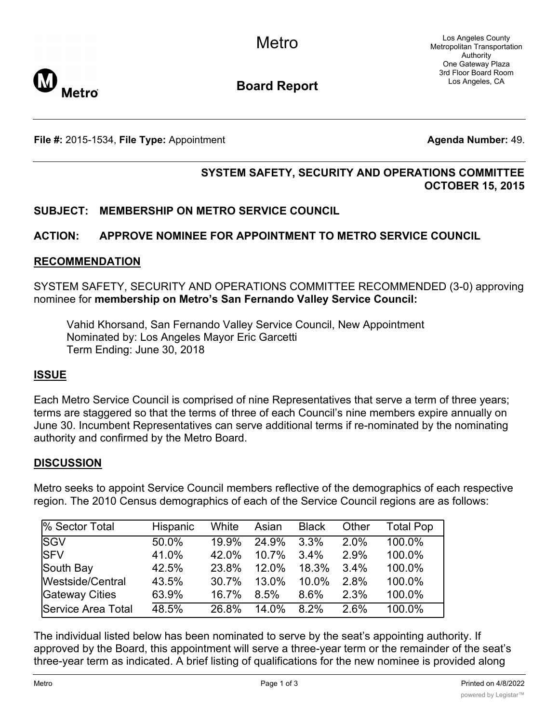

**Board Report**

**File #:** 2015-1534, File Type: Appointment **Agents Agenda Number:** 49.

# **SYSTEM SAFETY, SECURITY AND OPERATIONS COMMITTEE OCTOBER 15, 2015**

## **SUBJECT: MEMBERSHIP ON METRO SERVICE COUNCIL**

## **ACTION: APPROVE NOMINEE FOR APPOINTMENT TO METRO SERVICE COUNCIL**

#### **RECOMMENDATION**

SYSTEM SAFETY, SECURITY AND OPERATIONS COMMITTEE RECOMMENDED (3-0) approving nominee for **membership on Metro's San Fernando Valley Service Council:**

Vahid Khorsand, San Fernando Valley Service Council, New Appointment Nominated by: Los Angeles Mayor Eric Garcetti Term Ending: June 30, 2018

#### **ISSUE**

Each Metro Service Council is comprised of nine Representatives that serve a term of three years; terms are staggered so that the terms of three of each Council's nine members expire annually on June 30. Incumbent Representatives can serve additional terms if re-nominated by the nominating authority and confirmed by the Metro Board.

#### **DISCUSSION**

Metro seeks to appoint Service Council members reflective of the demographics of each respective region. The 2010 Census demographics of each of the Service Council regions are as follows:

| % Sector Total     | Hispanic | White | Asian | <b>Black</b> | Other | Total Pop |
|--------------------|----------|-------|-------|--------------|-------|-----------|
| <b>SGV</b>         | 50.0%    | 19.9% | 24.9% | 3.3%         | 2.0%  | 100.0%    |
| <b>SFV</b>         | 41.0%    | 42.0% | 10.7% | 3.4%         | 2.9%  | 100.0%    |
| South Bay          | 42.5%    | 23.8% | 12.0% | 18.3%        | 3.4%  | 100.0%    |
| Westside/Central   | 43.5%    | 30.7% | 13.0% | 10.0%        | 2.8%  | 100.0%    |
| Gateway Cities     | 63.9%    | 16.7% | 8.5%  | 8.6%         | 2.3%  | 100.0%    |
| Service Area Total | 48.5%    | 26.8% | 14.0% | 8.2%         | 2.6%  | 100.0%    |

The individual listed below has been nominated to serve by the seat's appointing authority. If approved by the Board, this appointment will serve a three-year term or the remainder of the seat's three-year term as indicated. A brief listing of qualifications for the new nominee is provided along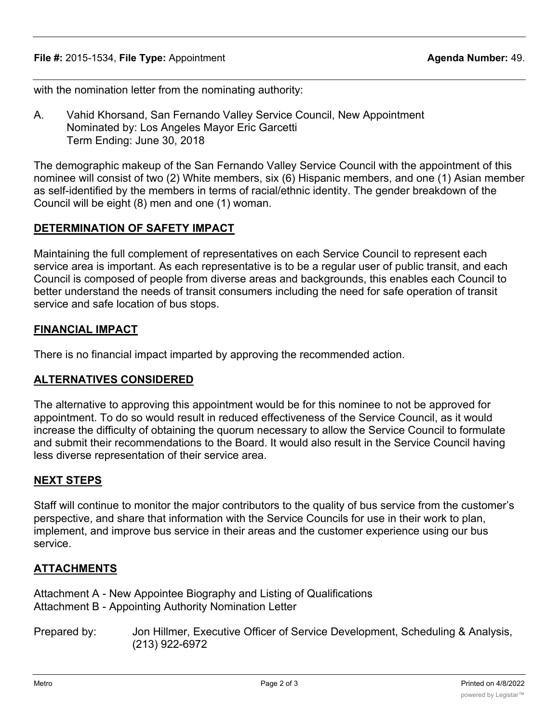with the nomination letter from the nominating authority:

A. Vahid Khorsand, San Fernando Valley Service Council, New Appointment Nominated by: Los Angeles Mayor Eric Garcetti Term Ending: June 30, 2018

The demographic makeup of the San Fernando Valley Service Council with the appointment of this nominee will consist of two (2) White members, six (6) Hispanic members, and one (1) Asian member as self-identified by the members in terms of racial/ethnic identity. The gender breakdown of the Council will be eight (8) men and one (1) woman.

## **DETERMINATION OF SAFETY IMPACT**

Maintaining the full complement of representatives on each Service Council to represent each service area is important. As each representative is to be a regular user of public transit, and each Council is composed of people from diverse areas and backgrounds, this enables each Council to better understand the needs of transit consumers including the need for safe operation of transit service and safe location of bus stops.

#### **FINANCIAL IMPACT**

There is no financial impact imparted by approving the recommended action.

#### **ALTERNATIVES CONSIDERED**

The alternative to approving this appointment would be for this nominee to not be approved for appointment. To do so would result in reduced effectiveness of the Service Council, as it would increase the difficulty of obtaining the quorum necessary to allow the Service Council to formulate and submit their recommendations to the Board. It would also result in the Service Council having less diverse representation of their service area.

#### **NEXT STEPS**

Staff will continue to monitor the major contributors to the quality of bus service from the customer's perspective, and share that information with the Service Councils for use in their work to plan, implement, and improve bus service in their areas and the customer experience using our bus service.

## **ATTACHMENTS**

Attachment A - New Appointee Biography and Listing of Qualifications Attachment B - Appointing Authority Nomination Letter

Prepared by: Jon Hillmer, Executive Officer of Service Development, Scheduling & Analysis, (213) 922-6972